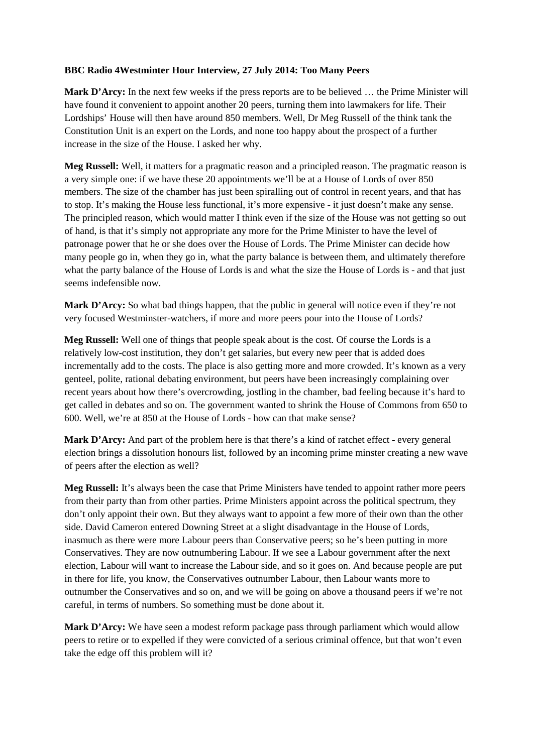## **BBC Radio 4Westminter Hour Interview, 27 July 2014: Too Many Peers**

**Mark D'Arcy:** In the next few weeks if the press reports are to be believed … the Prime Minister will have found it convenient to appoint another 20 peers, turning them into lawmakers for life. Their Lordships' House will then have around 850 members. Well, Dr Meg Russell of the think tank the Constitution Unit is an expert on the Lords, and none too happy about the prospect of a further increase in the size of the House. I asked her why.

**Meg Russell:** Well, it matters for a pragmatic reason and a principled reason. The pragmatic reason is a very simple one: if we have these 20 appointments we'll be at a House of Lords of over 850 members. The size of the chamber has just been spiralling out of control in recent years, and that has to stop. It's making the House less functional, it's more expensive - it just doesn't make any sense. The principled reason, which would matter I think even if the size of the House was not getting so out of hand, is that it's simply not appropriate any more for the Prime Minister to have the level of patronage power that he or she does over the House of Lords. The Prime Minister can decide how many people go in, when they go in, what the party balance is between them, and ultimately therefore what the party balance of the House of Lords is and what the size the House of Lords is - and that just seems indefensible now.

Mark D'Arcy: So what bad things happen, that the public in general will notice even if they're not very focused Westminster-watchers, if more and more peers pour into the House of Lords?

**Meg Russell:** Well one of things that people speak about is the cost. Of course the Lords is a relatively low-cost institution, they don't get salaries, but every new peer that is added does incrementally add to the costs. The place is also getting more and more crowded. It's known as a very genteel, polite, rational debating environment, but peers have been increasingly complaining over recent years about how there's overcrowding, jostling in the chamber, bad feeling because it's hard to get called in debates and so on. The government wanted to shrink the House of Commons from 650 to 600. Well, we're at 850 at the House of Lords - how can that make sense?

**Mark D'Arcy:** And part of the problem here is that there's a kind of ratchet effect - every general election brings a dissolution honours list, followed by an incoming prime minster creating a new wave of peers after the election as well?

**Meg Russell:** It's always been the case that Prime Ministers have tended to appoint rather more peers from their party than from other parties. Prime Ministers appoint across the political spectrum, they don't only appoint their own. But they always want to appoint a few more of their own than the other side. David Cameron entered Downing Street at a slight disadvantage in the House of Lords, inasmuch as there were more Labour peers than Conservative peers; so he's been putting in more Conservatives. They are now outnumbering Labour. If we see a Labour government after the next election, Labour will want to increase the Labour side, and so it goes on. And because people are put in there for life, you know, the Conservatives outnumber Labour, then Labour wants more to outnumber the Conservatives and so on, and we will be going on above a thousand peers if we're not careful, in terms of numbers. So something must be done about it.

**Mark D'Arcy:** We have seen a modest reform package pass through parliament which would allow peers to retire or to expelled if they were convicted of a serious criminal offence, but that won't even take the edge off this problem will it?